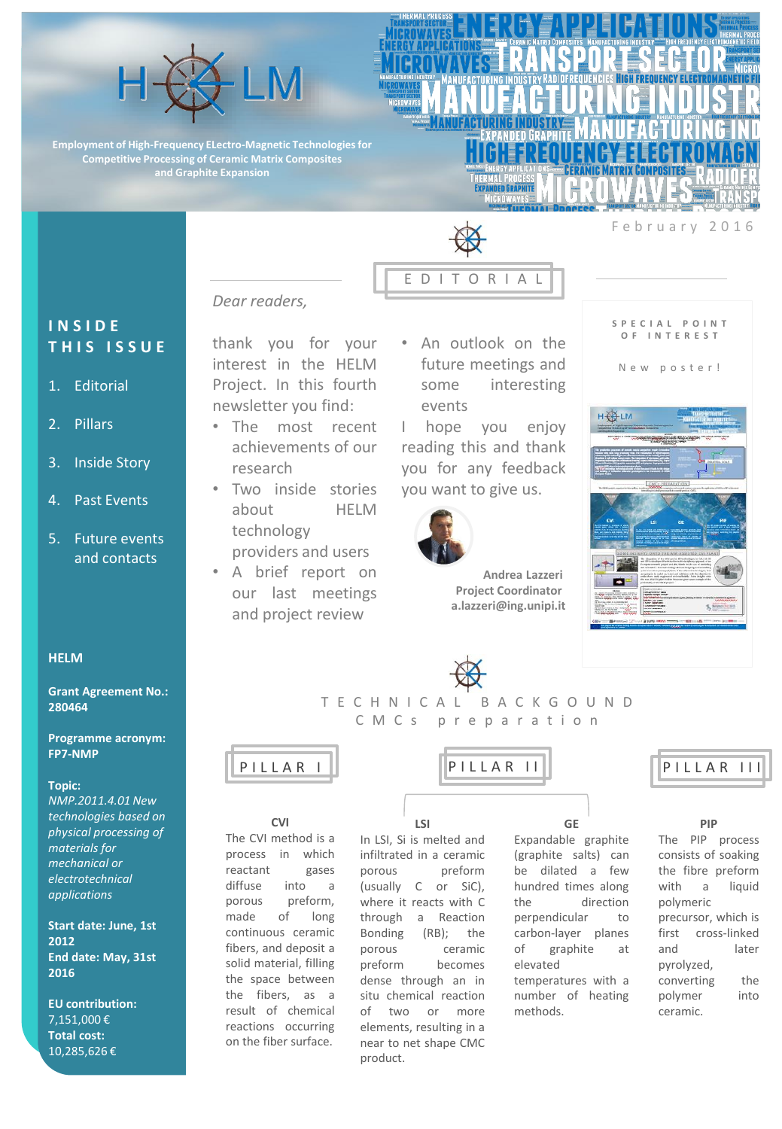

**Employment of High-Frequency ELectro-Magnetic Technologies for Competitive Processing of Ceramic Matrix Composites and Graphite Expansion** 



E D I T O R I A L

February 2016

**S P E C I A L P O I N T O F I N T E R E S T**

*Dear readers,*

## **I N S I D E T H I S I S S U E**

- 1. Editorial
- 2. Pillars
- 3. Inside Story
- 4. Past Events
- 5. Future events and contacts

#### **HELM**

**Grant Agreement No.: 280464** 

**Programme acronym: FP7-NMP** 

#### **Topic:**

*NMP.2011.4.01 New technologies based on physical processing of materials for mechanical or electrotechnical applications* 

**Start date: June, 1st 2012 End date: May, 31st 2016** 

**EU contribution:**  7,151,000 € **Total cost:**  10,285,626 €

# thank you for your interest in the HELM

Project. In this fourth newsletter you find:

- The most recent achievements of our research
- Two inside stories about HELM technology providers and users
- A brief report on our last meetings and project review

• An outlook on the future meetings and some interesting events

I hope you enjoy reading this and thank you for any feedback you want to give us.



**Andrea Lazzeri Project Coordinator a.lazzeri@ing.unipi.it**





T E C H N I C A L B A C K G O U N D C M C s p r e p a r a t i o n



**CVI** The CVI method is a process in which reactant gases diffuse into a porous preform, made of long continuous ceramic fibers, and deposit a solid material, filling the space between the fibers, as a result of chemical reactions occurring on the fiber surface.

**LSI** In LSI, Si is melted and infiltrated in a ceramic porous preform (usually C or SiC), where it reacts with C through a Reaction Bonding (RB); the porous ceramic preform becomes dense through an in situ chemical reaction of two or more elements, resulting in a near to net shape CMC product.

**GE** Expandable graphite (graphite salts) can be dilated a few hundred times along the direction perpendicular to carbon-layer planes of graphite at elevated temperatures with a number of heating methods.



 $5^{\frac{2}{3}}$ 

### **PIP**

The PIP process consists of soaking the fibre preform with a liquid polymeric precursor, which is first cross-linked and later pyrolyzed, converting the polymer into ceramic.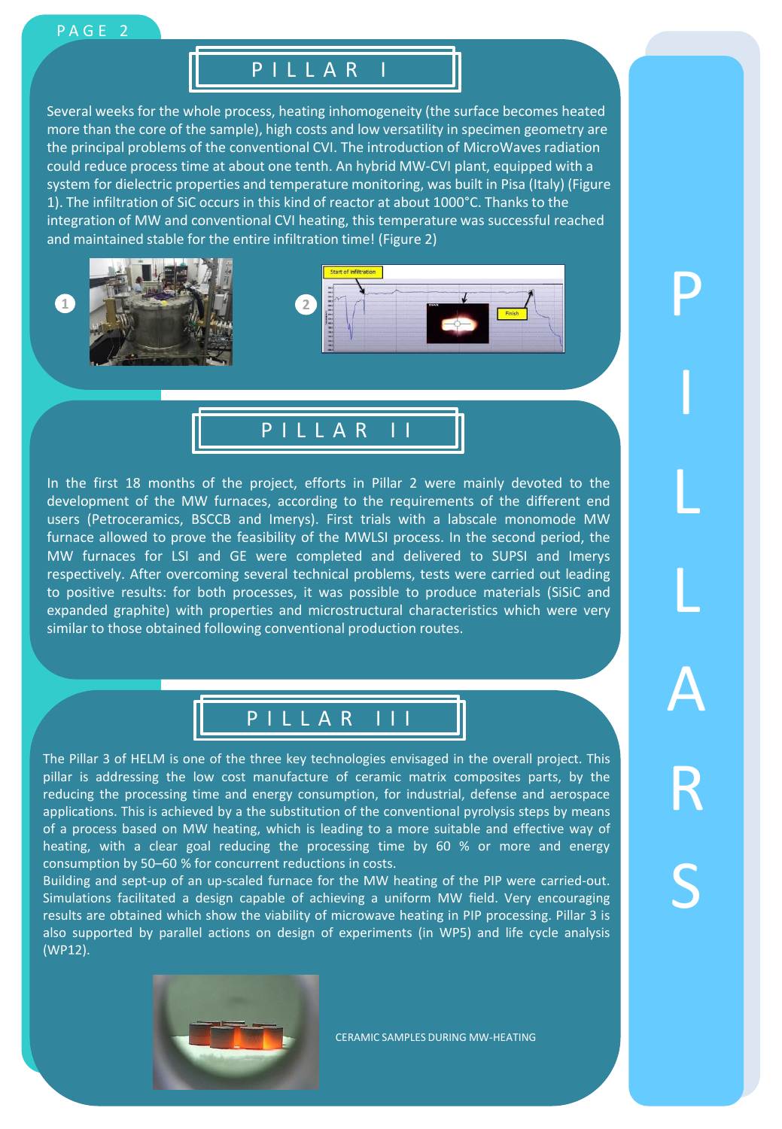## PAGE 2

## P I L L A R I

Several weeks for the whole process, heating inhomogeneity (the surface becomes heated more than the core of the sample), high costs and low versatility in specimen geometry are the principal problems of the conventional CVI. The introduction of MicroWaves radiation could reduce process time at about one tenth. An hybrid MW-CVI plant, equipped with a system for dielectric properties and temperature monitoring, was built in Pisa (Italy) (Figure 1). The infiltration of SiC occurs in this kind of reactor at about 1000°C. Thanks to the integration of MW and conventional CVI heating, this temperature was successful reached and maintained stable for the entire infiltration time! (Figure 2)





In the first 18 months of the project, efforts in Pillar 2 were mainly devoted to the development of the MW furnaces, according to the requirements of the different end users (Petroceramics, BSCCB and Imerys). First trials with a labscale monomode MW furnace allowed to prove the feasibility of the MWLSI process. In the second period, the MW furnaces for LSI and GE were completed and delivered to SUPSI and Imerys respectively. After overcoming several technical problems, tests were carried out leading to positive results: for both processes, it was possible to produce materials (SiSiC and expanded graphite) with properties and microstructural characteristics which were very similar to those obtained following conventional production routes.



The Pillar 3 of HELM is one of the three key technologies envisaged in the overall project. This pillar is addressing the low cost manufacture of ceramic matrix composites parts, by the reducing the processing time and energy consumption, for industrial, defense and aerospace applications. This is achieved by a the substitution of the conventional pyrolysis steps by means of a process based on MW heating, which is leading to a more suitable and effective way of heating, with a clear goal reducing the processing time by 60 % or more and energy consumption by 50–60 % for concurrent reductions in costs.

Building and sept-up of an up-scaled furnace for the MW heating of the PIP were carried-out. Simulations facilitated a design capable of achieving a uniform MW field. Very encouraging results are obtained which show the viability of microwave heating in PIP processing. Pillar 3 is also supported by parallel actions on design of experiments (in WP5) and life cycle analysis (WP12).



CERAMIC SAMPLES DURING MW-HEATING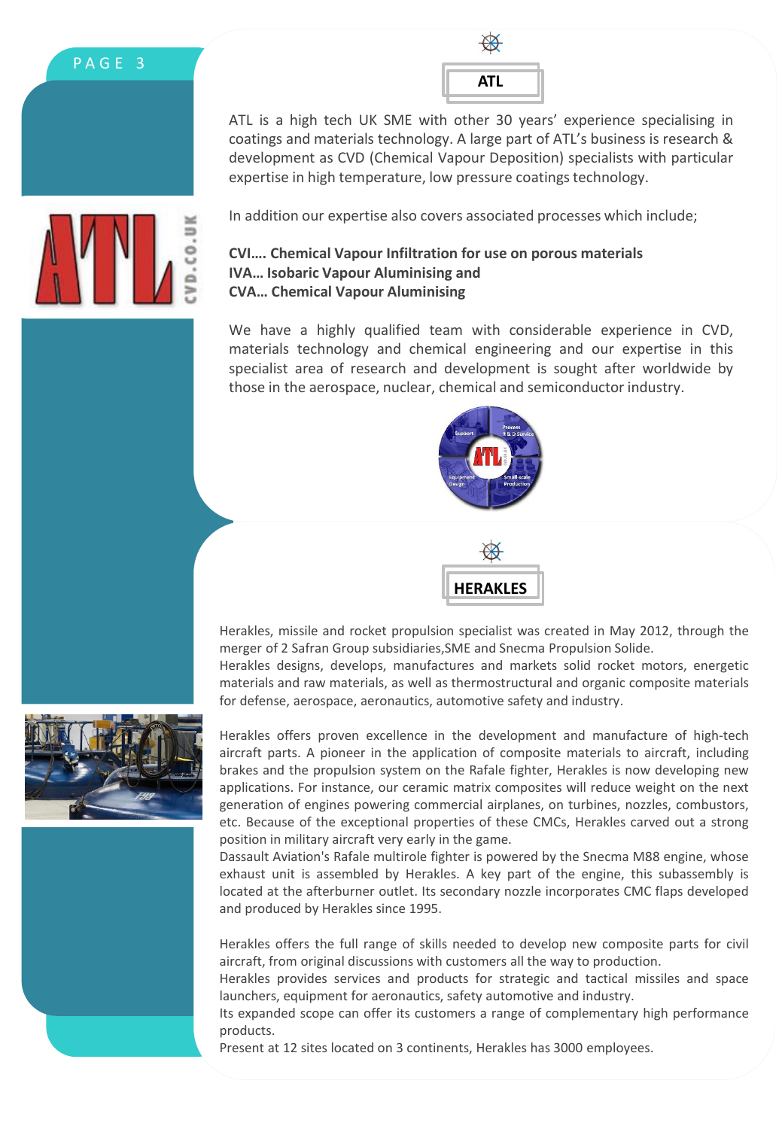| ATL |  |
|-----|--|

ATL is a high tech UK SME with other 30 years' experience specialising in coatings and materials technology. A large part of ATL's business is research & development as CVD (Chemical Vapour Deposition) specialists with particular expertise in high temperature, low pressure coatings technology.



In addition our expertise also covers associated processes which include;

## **CVI…. Chemical Vapour Infiltration for use on porous materials IVA… Isobaric Vapour Aluminising and CVA… Chemical Vapour Aluminising**

We have a highly qualified team with considerable experience in CVD, materials technology and chemical engineering and our expertise in this specialist area of research and development is sought after worldwide by those in the aerospace, nuclear, chemical and semiconductor industry.





Herakles, missile and rocket propulsion specialist was created in May 2012, through the merger of 2 Safran Group subsidiaries,SME and Snecma Propulsion Solide. Herakles designs, develops, manufactures and markets solid rocket motors, energetic materials and raw materials, as well as thermostructural and organic composite materials for defense, aerospace, aeronautics, automotive safety and industry.



Herakles offers proven excellence in the development and manufacture of high-tech aircraft parts. A pioneer in the application of composite materials to aircraft, including brakes and the propulsion system on the Rafale fighter, Herakles is now developing new applications. For instance, our ceramic matrix composites will reduce weight on the next generation of engines powering commercial airplanes, on turbines, nozzles, combustors, etc. Because of the exceptional properties of these CMCs, Herakles carved out a strong position in military aircraft very early in the game.

Dassault Aviation's Rafale multirole fighter is powered by the Snecma M88 engine, whose exhaust unit is assembled by Herakles. A key part of the engine, this subassembly is located at the afterburner outlet. Its secondary nozzle incorporates CMC flaps developed and produced by Herakles since 1995.

Herakles offers the full range of skills needed to develop new composite parts for civil aircraft, from original discussions with customers all the way to production.

Herakles provides services and products for strategic and tactical missiles and space launchers, equipment for aeronautics, safety automotive and industry.

Its expanded scope can offer its customers a range of complementary high performance products.

Present at 12 sites located on 3 continents, Herakles has 3000 employees.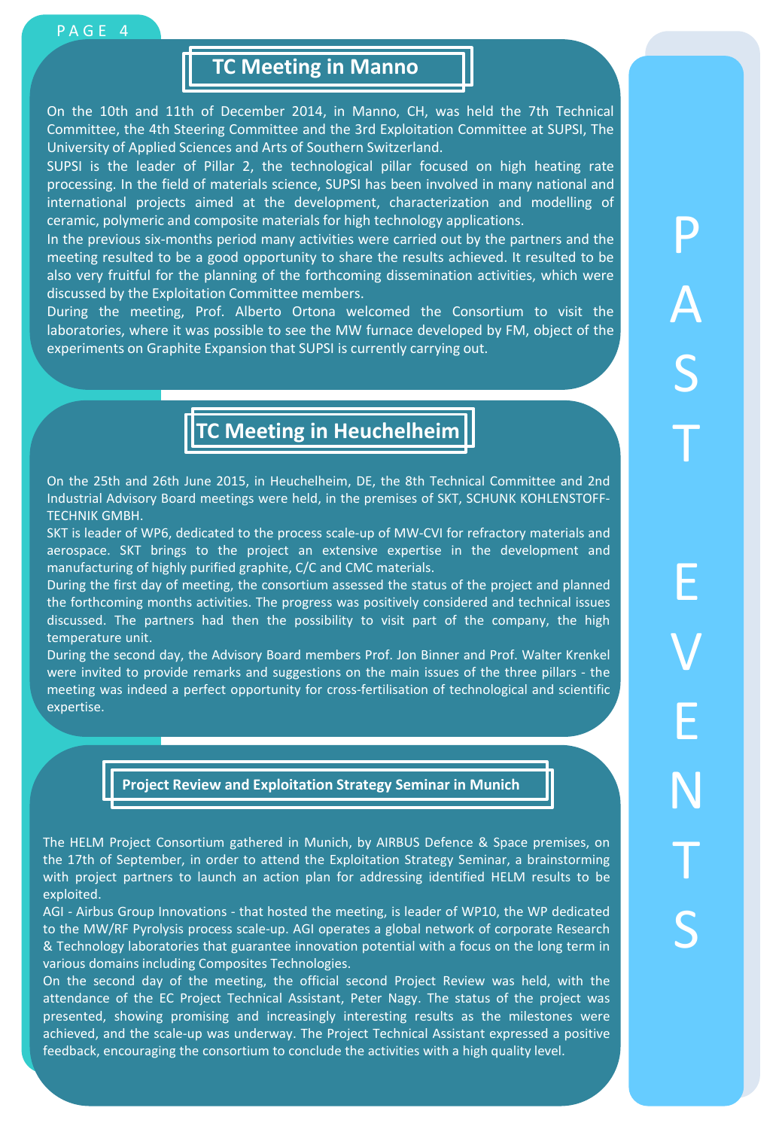## **TC Meeting in Manno**

On the 10th and 11th of December 2014, in Manno, CH, was held the 7th Technical Committee, the 4th Steering Committee and the 3rd Exploitation Committee at SUPSI, The University of Applied Sciences and Arts of Southern Switzerland.

SUPSI is the leader of Pillar 2, the technological pillar focused on high heating rate processing. In the field of materials science, SUPSI has been involved in many national and international projects aimed at the development, characterization and modelling of ceramic, polymeric and composite materials for high technology applications.

In the previous six-months period many activities were carried out by the partners and the meeting resulted to be a good opportunity to share the results achieved. It resulted to be also very fruitful for the planning of the forthcoming dissemination activities, which were discussed by the Exploitation Committee members.

During the meeting, Prof. Alberto Ortona welcomed the Consortium to visit the laboratories, where it was possible to see the MW furnace developed by FM, object of the experiments on Graphite Expansion that SUPSI is currently carrying out.

# **TC Meeting in Heuchelheim**

On the 25th and 26th June 2015, in Heuchelheim, DE, the 8th Technical Committee and 2nd Industrial Advisory Board meetings were held, in the premises of SKT, SCHUNK KOHLENSTOFF-TECHNIK GMBH.

SKT is leader of WP6, dedicated to the process scale-up of MW-CVI for refractory materials and aerospace. SKT brings to the project an extensive expertise in the development and manufacturing of highly purified graphite, C/C and CMC materials.

During the first day of meeting, the consortium assessed the status of the project and planned the forthcoming months activities. The progress was positively considered and technical issues discussed. The partners had then the possibility to visit part of the company, the high temperature unit.

During the second day, the Advisory Board members Prof. Jon Binner and Prof. Walter Krenkel were invited to provide remarks and suggestions on the main issues of the three pillars - the meeting was indeed a perfect opportunity for cross-fertilisation of technological and scientific expertise.

**Project Review and Exploitation Strategy Seminar in Munich**

The HELM Project Consortium gathered in Munich, by AIRBUS Defence & Space premises, on the 17th of September, in order to attend the Exploitation Strategy Seminar, a brainstorming with project partners to launch an action plan for addressing identified HELM results to be exploited.

AGI - Airbus Group Innovations - that hosted the meeting, is leader of WP10, the WP dedicated to the MW/RF Pyrolysis process scale-up. AGI operates a global network of corporate Research & Technology laboratories that guarantee innovation potential with a focus on the long term in various domains including Composites Technologies.

On the second day of the meeting, the official second Project Review was held, with the attendance of the EC Project Technical Assistant, Peter Nagy. The status of the project was presented, showing promising and increasingly interesting results as the milestones were achieved, and the scale-up was underway. The Project Technical Assistant expressed a positive feedback, encouraging the consortium to conclude the activities with a high quality level.